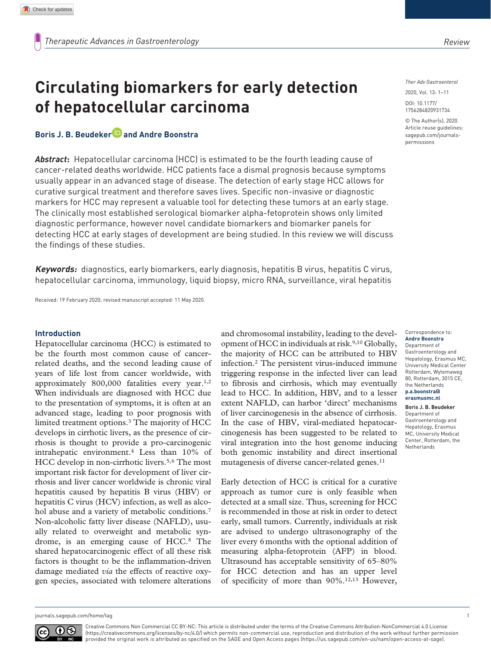# **Circulating biomarkers for early detection of hepatocellular carcinoma**

## **Boris J. B. Beudeker and Andre Boonstra**

*Abstract***:** Hepatocellular carcinoma (HCC) is estimated to be the fourth leading cause of cancer-related deaths worldwide. HCC patients face a dismal prognosis because symptoms usually appear in an advanced stage of disease. The detection of early stage HCC allows for curative surgical treatment and therefore saves lives. Specific non-invasive or diagnostic markers for HCC may represent a valuable tool for detecting these tumors at an early stage. The clinically most established serological biomarker alpha-fetoprotein shows only limited diagnostic performance, however novel candidate biomarkers and biomarker panels for detecting HCC at early stages of development are being studied. In this review we will discuss the findings of these studies.

**Keywords:** diagnostics, early biomarkers, early diagnosis, hepatitis B virus, hepatitis C virus, hepatocellular carcinoma, immunology, liquid biopsy, micro RNA, surveillance, viral hepatitis

Received: 19 February 2020; revised manuscript accepted: 11 May 2020.

#### **Introduction**

Hepatocellular carcinoma (HCC) is estimated to be the fourth most common cause of cancerrelated deaths, and the second leading cause of years of life lost from cancer worldwide, with approximately 800,000 fatalities every year.1,2 When individuals are diagnosed with HCC due to the presentation of symptoms, it is often at an advanced stage, leading to poor prognosis with limited treatment options.3 The majority of HCC develops in cirrhotic livers, as the presence of cirrhosis is thought to provide a pro-carcinogenic intrahepatic environment.4 Less than 10% of HCC develop in non-cirrhotic livers.<sup>5,6</sup> The most important risk factor for development of liver cirrhosis and liver cancer worldwide is chronic viral hepatitis caused by hepatitis B virus (HBV) or hepatitis C virus (HCV) infection, as well as alcohol abuse and a variety of metabolic conditions.<sup>7</sup> Non-alcoholic fatty liver disease (NAFLD), usually related to overweight and metabolic syndrome, is an emerging cause of HCC.8 The shared hepatocarcinogenic effect of all these risk factors is thought to be the inflammation-driven damage mediated *via* the effects of reactive oxygen species, associated with telomere alterations and chromosomal instability, leading to the development of HCC in individuals at risk.<sup>9,10</sup> Globally, the majority of HCC can be attributed to HBV infection.2 The persistent virus-induced immune triggering response in the infected liver can lead to fibrosis and cirrhosis, which may eventually lead to HCC. In addition, HBV, and to a lesser extent NAFLD, can harbor 'direct' mechanisms of liver carcinogenesis in the absence of cirrhosis. In the case of HBV, viral-mediated hepatocarcinogenesis has been suggested to be related to viral integration into the host genome inducing both genomic instability and direct insertional mutagenesis of diverse cancer-related genes.<sup>11</sup>

Early detection of HCC is critical for a curative approach as tumor cure is only feasible when detected at a small size. Thus, screening for HCC is recommended in those at risk in order to detect early, small tumors. Currently, individuals at risk are advised to undergo ultrasonography of the liver every 6months with the optional addition of measuring alpha-fetoprotein (AFP) in blood. Ultrasound has acceptable sensitivity of 65–80% for HCC detection and has an upper level of specificity of more than 90%.12,13 However,

*Ther Adv Gastroenterol*

DOI: 10.1177/ 2020, Vol. 13: 1–11

© The Author(s), 2020. Article reuse guidelines: [sagepub.com/journals](https://uk.sagepub.com/en-gb/journals-permissions)[permissions](https://uk.sagepub.com/en-gb/journals-permissions)

1756284820931734

Correspondence to: **Andre Boonstra** Department of Gastroenterology and Hepatology, Erasmus MC, University Medical Center Rotterdam, Wytemaweg 80, Rotterdam, 3015 CE, the Netherlands **[p.a.boonstra@](mailto:p.a.boonstra@erasmusmc.nl) [erasmusmc.nl](mailto:p.a.boonstra@erasmusmc.nl)**

#### **Boris J. B. Beudeker** Department of Gastroenterology and Hepatology, Erasmus MC, University Medical Center, Rotterdam, the Netherlands

[journals.sagepub.com/home/tag](https://journals.sagepub.com/home/tag) 1

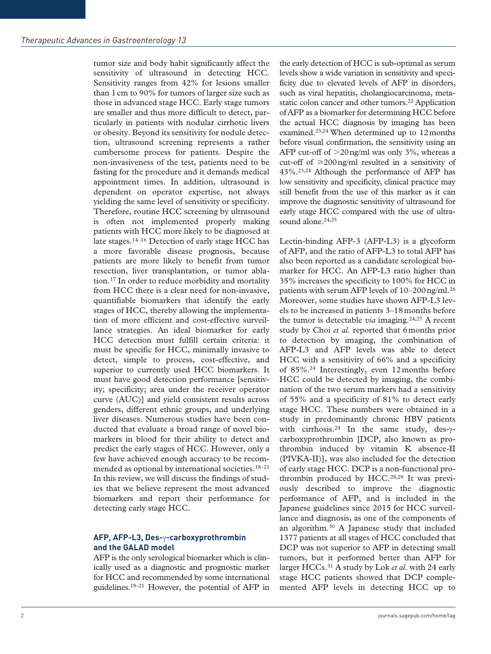tumor size and body habit significantly affect the sensitivity of ultrasound in detecting HCC. Sensitivity ranges from 42% for lesions smaller than 1cm to 90% for tumors of larger size such as those in advanced stage HCC. Early stage tumors are smaller and thus more difficult to detect, particularly in patients with nodular cirrhotic livers or obesity. Beyond its sensitivity for nodule detection, ultrasound screening represents a rather cumbersome process for patients. Despite the non-invasiveness of the test, patients need to be fasting for the procedure and it demands medical appointment times. In addition, ultrasound is dependent on operator expertise, not always yielding the same level of sensitivity or specificity. Therefore, routine HCC screening by ultrasound is often not implemented properly making patients with HCC more likely to be diagnosed at late stages.14–16 Detection of early stage HCC has a more favorable disease prognosis, because patients are more likely to benefit from tumor resection, liver transplantation, or tumor ablation.17 In order to reduce morbidity and mortality from HCC there is a clear need for non-invasive, quantifiable biomarkers that identify the early stages of HCC, thereby allowing the implementation of more efficient and cost-effective surveillance strategies. An ideal biomarker for early HCC detection must fulfill certain criteria: it must be specific for HCC, minimally invasive to detect, simple to process, cost-effective, and superior to currently used HCC biomarkers. It must have good detection performance [sensitivity; specificity; area under the receiver operator curve (AUC)] and yield consistent results across genders, different ethnic groups, and underlying liver diseases. Numerous studies have been conducted that evaluate a broad range of novel biomarkers in blood for their ability to detect and predict the early stages of HCC. However, only a few have achieved enough accuracy to be recommended as optional by international societies.<sup>18-21</sup> In this review, we will discuss the findings of studies that we believe represent the most advanced biomarkers and report their performance for detecting early stage HCC.

#### **AFP, AFP-L3, Des-**γ**-carboxyprothrombin and the GALAD model**

AFP is the only serological biomarker which is clinically used as a diagnostic and prognostic marker for HCC and recommended by some international guidelines.18–21 However, the potential of AFP in

the early detection of HCC is sub-optimal as serum levels show a wide variation in sensitivity and specificity due to elevated levels of AFP in disorders, such as viral hepatitis, cholangiocarcinoma, metastatic colon cancer and other tumors.<sup>22</sup> Application of AFP as a biomarker for determining HCC before the actual HCC diagnosis by imaging has been examined.23,24 When determined up to 12months before visual confirmation, the sensitivity using an AFP cut-off of  $>$ 20 ng/ml was only 3%, whereas a cut-off of  $\geq$ 200ng/ml resulted in a sensitivity of 43%.23,24 Although the performance of AFP has low sensitivity and specificity, clinical practice may still benefit from the use of this marker as it can improve the diagnostic sensitivity of ultrasound for early stage HCC compared with the use of ultrasound alone.<sup>24,25</sup>

Lectin-binding AFP-3 (AFP-L3) is a glycoform of AFP, and the ratio of AFP-L3 to total AFP has also been reported as a candidate serological biomarker for HCC. An AFP-L3 ratio higher than 35% increases the specificity to 100% for HCC in patients with serum AFP levels of 10–200ng/ml.26 Moreover, some studies have shown AFP-L3 levels to be increased in patients 3–18months before the tumor is detectable *via* imaging.<sup>24,27</sup> A recent study by Choi *et al.* reported that 6months prior to detection by imaging, the combination of AFP-L3 and AFP levels was able to detect HCC with a sensitivity of 66% and a specificity of 85%.24 Interestingly, even 12months before HCC could be detected by imaging, the combination of the two serum markers had a sensitivity of 55% and a specificity of 81% to detect early stage HCC. These numbers were obtained in a study in predominantly chronic HBV patients with cirrhosis.<sup>24</sup> In the same study, des-γcarboxyprothrombin [DCP, also known as prothrombin induced by vitamin K absence-II (PIVKA-II)], was also included for the detection of early stage HCC. DCP is a non-functional prothrombin produced by HCC.28,29 It was previously described to improve the diagnostic performance of AFP, and is included in the Japanese guidelines since 2015 for HCC surveillance and diagnosis, as one of the components of an algorithm.30 A Japanese study that included 1377 patients at all stages of HCC concluded that DCP was not superior to AFP in detecting small tumors, but it performed better than AFP for larger HCCs.31 A study by Lok *et al.* with 24 early stage HCC patients showed that DCP complemented AFP levels in detecting HCC up to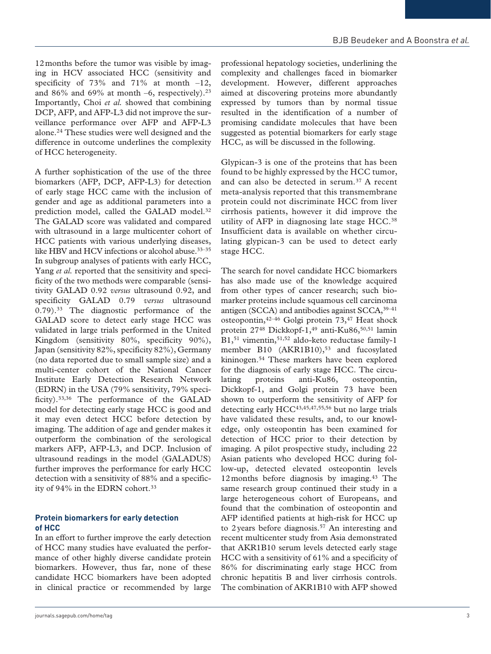12months before the tumor was visible by imaging in HCV associated HCC (sensitivity and specificity of  $73\%$  and  $71\%$  at month  $-12$ , and  $86\%$  and  $69\%$  at month -6, respectively).<sup>23</sup> Importantly, Choi *et al.* showed that combining DCP, AFP, and AFP-L3 did not improve the surveillance performance over AFP and AFP-L3 alone.24 These studies were well designed and the difference in outcome underlines the complexity of HCC heterogeneity.

A further sophistication of the use of the three biomarkers (AFP, DCP, AFP-L3) for detection of early stage HCC came with the inclusion of gender and age as additional parameters into a prediction model, called the GALAD model.<sup>32</sup> The GALAD score was validated and compared with ultrasound in a large multicenter cohort of HCC patients with various underlying diseases, like HBV and HCV infections or alcohol abuse.<sup>33-35</sup> In subgroup analyses of patients with early HCC, Yang *et al.* reported that the sensitivity and specificity of the two methods were comparable (sensitivity GALAD 0.92 *versus* ultrasound 0.92, and specificity GALAD 0.79 *versus* ultrasound 0.79).<sup>33</sup> The diagnostic performance of the GALAD score to detect early stage HCC was validated in large trials performed in the United Kingdom (sensitivity 80%, specificity 90%), Japan (sensitivity 82%, specificity 82%), Germany (no data reported due to small sample size) and a multi-center cohort of the National Cancer Institute Early Detection Research Network (EDRN) in the USA (79% sensitivity, 79% specificity).33,36 The performance of the GALAD model for detecting early stage HCC is good and it may even detect HCC before detection by imaging. The addition of age and gender makes it outperform the combination of the serological markers AFP, AFP-L3, and DCP. Inclusion of ultrasound readings in the model (GALADUS) further improves the performance for early HCC detection with a sensitivity of 88% and a specificity of 94% in the EDRN cohort.<sup>33</sup>

#### **Protein biomarkers for early detection of HCC**

In an effort to further improve the early detection of HCC many studies have evaluated the performance of other highly diverse candidate protein biomarkers. However, thus far, none of these candidate HCC biomarkers have been adopted in clinical practice or recommended by large

professional hepatology societies, underlining the complexity and challenges faced in biomarker development. However, different approaches aimed at discovering proteins more abundantly expressed by tumors than by normal tissue resulted in the identification of a number of promising candidate molecules that have been suggested as potential biomarkers for early stage HCC, as will be discussed in the following.

Glypican-3 is one of the proteins that has been found to be highly expressed by the HCC tumor, and can also be detected in serum.<sup>37</sup> A recent meta-analysis reported that this transmembrane protein could not discriminate HCC from liver cirrhosis patients, however it did improve the utility of AFP in diagnosing late stage HCC.38 Insufficient data is available on whether circulating glypican-3 can be used to detect early stage HCC.

The search for novel candidate HCC biomarkers has also made use of the knowledge acquired from other types of cancer research; such biomarker proteins include squamous cell carcinoma antigen (SCCA) and antibodies against SCCA,39–41 osteopontin,42–46 Golgi protein 73,47 Heat shock protein 27<sup>48</sup> Dickkopf-1,<sup>49</sup> anti-Ku86,<sup>50,51</sup> lamin B1,51 vimentin,51,52 aldo-keto reductase family-1 member B10 (AKR1B10),<sup>53</sup> and fucosylated kininogen.54 These markers have been explored for the diagnosis of early stage HCC. The circulating proteins anti-Ku86, osteopontin, Dickkopf-1, and Golgi protein 73 have been shown to outperform the sensitivity of AFP for detecting early  $HCC^{43,45,47,55,56}$  but no large trials have validated these results, and, to our knowledge, only osteopontin has been examined for detection of HCC prior to their detection by imaging. A pilot prospective study, including 22 Asian patients who developed HCC during follow-up, detected elevated osteopontin levels 12 months before diagnosis by imaging.<sup>43</sup> The same research group continued their study in a large heterogeneous cohort of Europeans, and found that the combination of osteopontin and AFP identified patients at high-risk for HCC up to 2years before diagnosis.57 An interesting and recent multicenter study from Asia demonstrated that AKR1B10 serum levels detected early stage HCC with a sensitivity of 61% and a specificity of 86% for discriminating early stage HCC from chronic hepatitis B and liver cirrhosis controls. The combination of AKR1B10 with AFP showed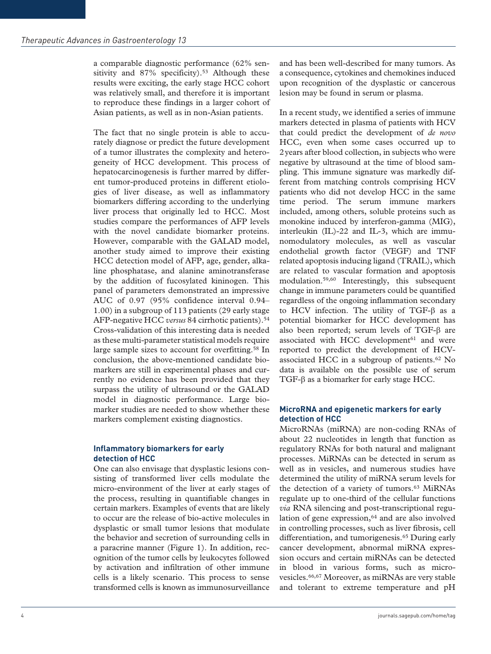a comparable diagnostic performance (62% sensitivity and 87% specificity).<sup>53</sup> Although these results were exciting, the early stage HCC cohort was relatively small, and therefore it is important to reproduce these findings in a larger cohort of Asian patients, as well as in non-Asian patients.

The fact that no single protein is able to accurately diagnose or predict the future development of a tumor illustrates the complexity and heterogeneity of HCC development. This process of hepatocarcinogenesis is further marred by different tumor-produced proteins in different etiologies of liver disease, as well as inflammatory biomarkers differing according to the underlying liver process that originally led to HCC. Most studies compare the performances of AFP levels with the novel candidate biomarker proteins. However, comparable with the GALAD model, another study aimed to improve their existing HCC detection model of AFP, age, gender, alkaline phosphatase, and alanine aminotransferase by the addition of fucosylated kininogen. This panel of parameters demonstrated an impressive AUC of 0.97 (95% confidence interval 0.94– 1.00) in a subgroup of 113 patients (29 early stage AFP-negative HCC *versus* 84 cirrhotic patients).<sup>54</sup> Cross-validation of this interesting data is needed as these multi-parameter statistical models require large sample sizes to account for overfitting.<sup>58</sup> In conclusion, the above-mentioned candidate biomarkers are still in experimental phases and currently no evidence has been provided that they surpass the utility of ultrasound or the GALAD model in diagnostic performance. Large biomarker studies are needed to show whether these markers complement existing diagnostics.

#### **Inflammatory biomarkers for early detection of HCC**

One can also envisage that dysplastic lesions consisting of transformed liver cells modulate the micro-environment of the liver at early stages of the process, resulting in quantifiable changes in certain markers. Examples of events that are likely to occur are the release of bio-active molecules in dysplastic or small tumor lesions that modulate the behavior and secretion of surrounding cells in a paracrine manner (Figure 1). In addition, recognition of the tumor cells by leukocytes followed by activation and infiltration of other immune cells is a likely scenario. This process to sense transformed cells is known as immunosurveillance

and has been well-described for many tumors. As a consequence, cytokines and chemokines induced upon recognition of the dysplastic or cancerous lesion may be found in serum or plasma.

In a recent study, we identified a series of immune markers detected in plasma of patients with HCV that could predict the development of *de novo* HCC, even when some cases occurred up to 2years after blood collection, in subjects who were negative by ultrasound at the time of blood sampling. This immune signature was markedly different from matching controls comprising HCV patients who did not develop HCC in the same time period. The serum immune markers included, among others, soluble proteins such as monokine induced by interferon-gamma (MIG), interleukin (IL)-22 and IL-3, which are immunomodulatory molecules, as well as vascular endothelial growth factor (VEGF) and TNF related apoptosis inducing ligand (TRAIL), which are related to vascular formation and apoptosis modulation.59,60 Interestingly, this subsequent change in immune parameters could be quantified regardless of the ongoing inflammation secondary to HCV infection. The utility of TGF-β as a potential biomarker for HCC development has also been reported; serum levels of TGF-β are associated with HCC development $61$  and were reported to predict the development of HCVassociated HCC in a subgroup of patients.62 No data is available on the possible use of serum TGF-β as a biomarker for early stage HCC.

#### **MicroRNA and epigenetic markers for early detection of HCC**

MicroRNAs (miRNA) are non-coding RNAs of about 22 nucleotides in length that function as regulatory RNAs for both natural and malignant processes. MiRNAs can be detected in serum as well as in vesicles, and numerous studies have determined the utility of miRNA serum levels for the detection of a variety of tumors.<sup>63</sup> MiRNAs regulate up to one-third of the cellular functions *via* RNA silencing and post-transcriptional regulation of gene expression, $64$  and are also involved in controlling processes, such as liver fibrosis, cell differentiation, and tumorigenesis.<sup>65</sup> During early cancer development, abnormal miRNA expression occurs and certain miRNAs can be detected in blood in various forms, such as microvesicles.66,67 Moreover, as miRNAs are very stable and tolerant to extreme temperature and pH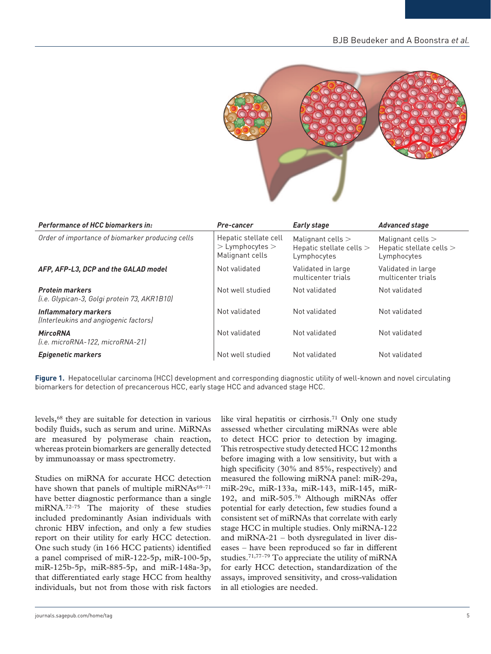

| <b>Performance of HCC biomarkers in:</b>                               | Pre-cancer                                                      | <b>Early stage</b>                                               | <b>Advanced stage</b>                                          |
|------------------------------------------------------------------------|-----------------------------------------------------------------|------------------------------------------------------------------|----------------------------------------------------------------|
| Order of importance of biomarker producing cells                       | Hepatic stellate cell<br>$>$ Lymphocytes $>$<br>Malignant cells | Malignant cells $>$<br>Hepatic stellate cells $>$<br>Lymphocytes | Malignant cells $>$<br>Hepatic stellate cells ><br>Lymphocytes |
| AFP, AFP-L3, DCP and the GALAD model                                   | Not validated                                                   | Validated in large<br>multicenter trials                         | Validated in large<br>multicenter trials                       |
| <b>Protein markers</b><br>(i.e. Glypican-3, Golgi protein 73, AKR1B10) | Not well studied                                                | Not validated                                                    | Not validated                                                  |
| <b>Inflammatory markers</b><br>(Interleukins and angiogenic factors)   | Not validated                                                   | Not validated                                                    | Not validated                                                  |
| <b>MircoRNA</b><br>(i.e. microRNA-122, microRNA-21)                    | Not validated                                                   | Not validated                                                    | Not validated                                                  |
| <b>Epigenetic markers</b>                                              | Not well studied                                                | Not validated                                                    | Not validated                                                  |

**Figure 1.** Hepatocellular carcinoma (HCC) development and corresponding diagnostic utility of well-known and novel circulating biomarkers for detection of precancerous HCC, early stage HCC and advanced stage HCC.

levels,68 they are suitable for detection in various bodily fluids, such as serum and urine. MiRNAs are measured by polymerase chain reaction, whereas protein biomarkers are generally detected by immunoassay or mass spectrometry.

Studies on miRNA for accurate HCC detection have shown that panels of multiple miRNAs $69-71$ have better diagnostic performance than a single miRNA.72–75 The majority of these studies included predominantly Asian individuals with chronic HBV infection, and only a few studies report on their utility for early HCC detection. One such study (in 166 HCC patients) identified a panel comprised of miR-122-5p, miR-100-5p, miR-125b-5p, miR-885-5p, and miR-148a-3p, that differentiated early stage HCC from healthy individuals, but not from those with risk factors like viral hepatitis or cirrhosis.<sup>71</sup> Only one study assessed whether circulating miRNAs were able to detect HCC prior to detection by imaging. This retrospective study detected HCC 12months before imaging with a low sensitivity, but with a high specificity (30% and 85%, respectively) and measured the following miRNA panel: miR-29a, miR-29c, miR-133a, miR-143, miR-145, miR-192, and miR-505.76 Although miRNAs offer potential for early detection, few studies found a consistent set of miRNAs that correlate with early stage HCC in multiple studies. Only miRNA-122 and miRNA-21 – both dysregulated in liver diseases – have been reproduced so far in different studies.71,77–79 To appreciate the utility of miRNA for early HCC detection, standardization of the assays, improved sensitivity, and cross-validation in all etiologies are needed.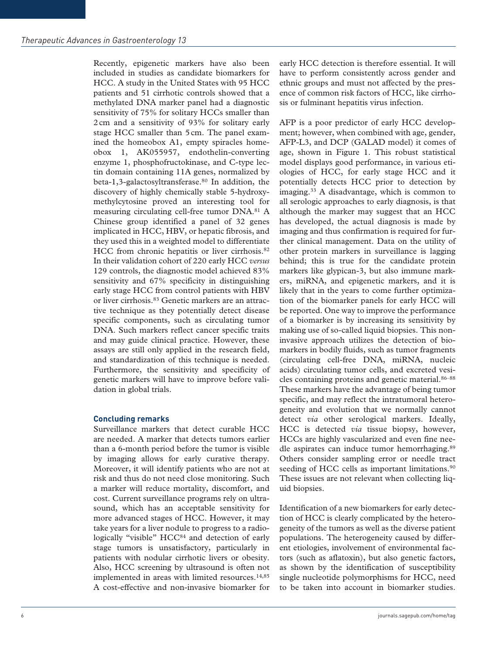Recently, epigenetic markers have also been included in studies as candidate biomarkers for HCC. A study in the United States with 95 HCC patients and 51 cirrhotic controls showed that a methylated DNA marker panel had a diagnostic sensitivity of 75% for solitary HCCs smaller than 2cm and a sensitivity of 93% for solitary early stage HCC smaller than 5cm. The panel examined the homeobox A1, empty spiracles homeobox 1, AK055957, endothelin-converting enzyme 1, phosphofructokinase, and C-type lectin domain containing 11A genes, normalized by beta-1,3-galactosyltransferase.<sup>80</sup> In addition, the discovery of highly chemically stable 5-hydroxymethylcytosine proved an interesting tool for measuring circulating cell-free tumor DNA.81 A Chinese group identified a panel of 32 genes implicated in HCC, HBV, or hepatic fibrosis, and they used this in a weighted model to differentiate HCC from chronic hepatitis or liver cirrhosis.<sup>82</sup> In their validation cohort of 220 early HCC *versus* 129 controls, the diagnostic model achieved 83% sensitivity and 67% specificity in distinguishing early stage HCC from control patients with HBV or liver cirrhosis.83 Genetic markers are an attractive technique as they potentially detect disease specific components, such as circulating tumor DNA. Such markers reflect cancer specific traits and may guide clinical practice. However, these assays are still only applied in the research field, and standardization of this technique is needed. Furthermore, the sensitivity and specificity of genetic markers will have to improve before validation in global trials.

### **Concluding remarks**

Surveillance markers that detect curable HCC are needed. A marker that detects tumors earlier than a 6-month period before the tumor is visible by imaging allows for early curative therapy. Moreover, it will identify patients who are not at risk and thus do not need close monitoring. Such a marker will reduce mortality, discomfort, and cost. Current surveillance programs rely on ultrasound, which has an acceptable sensitivity for more advanced stages of HCC. However, it may take years for a liver nodule to progress to a radiologically "visible" HCC<sup>84</sup> and detection of early stage tumors is unsatisfactory, particularly in patients with nodular cirrhotic livers or obesity. Also, HCC screening by ultrasound is often not implemented in areas with limited resources.<sup>14,85</sup> A cost-effective and non-invasive biomarker for

early HCC detection is therefore essential. It will have to perform consistently across gender and ethnic groups and must not affected by the presence of common risk factors of HCC, like cirrhosis or fulminant hepatitis virus infection.

AFP is a poor predictor of early HCC development; however, when combined with age, gender, AFP-L3, and DCP (GALAD model) it comes of age, shown in Figure 1. This robust statistical model displays good performance, in various etiologies of HCC, for early stage HCC and it potentially detects HCC prior to detection by imaging.33 A disadvantage, which is common to all serologic approaches to early diagnosis, is that although the marker may suggest that an HCC has developed, the actual diagnosis is made by imaging and thus confirmation is required for further clinical management. Data on the utility of other protein markers in surveillance is lagging behind; this is true for the candidate protein markers like glypican-3, but also immune markers, miRNA, and epigenetic markers, and it is likely that in the years to come further optimization of the biomarker panels for early HCC will be reported. One way to improve the performance of a biomarker is by increasing its sensitivity by making use of so-called liquid biopsies. This noninvasive approach utilizes the detection of biomarkers in bodily fluids, such as tumor fragments (circulating cell-free DNA, miRNA, nucleic acids) circulating tumor cells, and excreted vesicles containing proteins and genetic material.86–88 These markers have the advantage of being tumor specific, and may reflect the intratumoral heterogeneity and evolution that we normally cannot detect *via* other serological markers. Ideally, HCC is detected *via* tissue biopsy, however, HCCs are highly vascularized and even fine needle aspirates can induce tumor hemorrhaging.89 Others consider sampling error or needle tract seeding of HCC cells as important limitations.<sup>90</sup> These issues are not relevant when collecting liquid biopsies.

Identification of a new biomarkers for early detection of HCC is clearly complicated by the heterogeneity of the tumors as well as the diverse patient populations. The heterogeneity caused by different etiologies, involvement of environmental factors (such as aflatoxin), but also genetic factors, as shown by the identification of susceptibility single nucleotide polymorphisms for HCC, need to be taken into account in biomarker studies.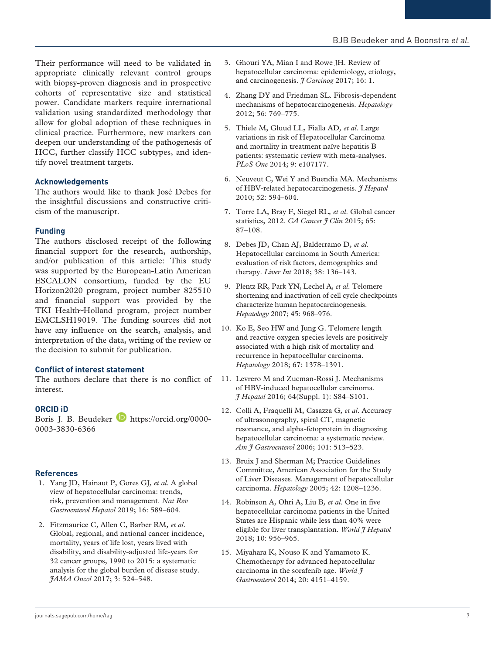Their performance will need to be validated in appropriate clinically relevant control groups with biopsy-proven diagnosis and in prospective cohorts of representative size and statistical power. Candidate markers require international validation using standardized methodology that allow for global adoption of these techniques in clinical practice. Furthermore, new markers can deepen our understanding of the pathogenesis of HCC, further classify HCC subtypes, and identify novel treatment targets.

#### **Acknowledgements**

The authors would like to thank José Debes for the insightful discussions and constructive criticism of the manuscript.

#### **Funding**

The authors disclosed receipt of the following financial support for the research, authorship, and/or publication of this article: This study was supported by the European-Latin American ESCALON consortium, funded by the EU Horizon2020 program, project number 825510 and financial support was provided by the TKI Health~Holland program, project number EMCLSH19019. The funding sources did not have any influence on the search, analysis, and interpretation of the data, writing of the review or the decision to submit for publication.

#### **Conflict of interest statement**

The authors declare that there is no conflict of interest.

#### **ORCID iD**

Boris J. B. Beudeker **b** [https://orcid.org/0000-](https://orcid.org/0000-0003-3830-6366) 0003-3830-6366

#### **References**

- 1. Yang JD, Hainaut P, Gores GJ*, et al*. A global view of hepatocellular carcinoma: trends, risk, prevention and management. *Nat Rev Gastroenterol Hepatol* 2019; 16: 589–604.
- 2. Fitzmaurice C, Allen C, Barber RM*, et al*. Global, regional, and national cancer incidence, mortality, years of life lost, years lived with disability, and disability-adjusted life-years for 32 cancer groups, 1990 to 2015: a systematic analysis for the global burden of disease study. *JAMA Oncol* 2017; 3: 524–548.
- 3. Ghouri YA, Mian I and Rowe JH. Review of hepatocellular carcinoma: epidemiology, etiology, and carcinogenesis. *J Carcinog* 2017; 16: 1.
- 4. Zhang DY and Friedman SL. Fibrosis-dependent mechanisms of hepatocarcinogenesis. *Hepatology* 2012; 56: 769–775.
- 5. Thiele M, Gluud LL, Fialla AD*, et al*. Large variations in risk of Hepatocellular Carcinoma and mortality in treatment naïve hepatitis B patients: systematic review with meta-analyses. *PLoS One* 2014; 9: e107177.
- 6. Neuveut C, Wei Y and Buendia MA. Mechanisms of HBV-related hepatocarcinogenesis. *J Hepatol* 2010; 52: 594–604.
- 7. Torre LA, Bray F, Siegel RL*, et al*. Global cancer statistics, 2012. *CA Cancer J Clin* 2015; 65: 87–108.
- 8. Debes JD, Chan AJ, Balderramo D*, et al*. Hepatocellular carcinoma in South America: evaluation of risk factors, demographics and therapy. *Liver Int* 2018; 38: 136–143.
- 9. Plentz RR, Park YN, Lechel A*, et al*. Telomere shortening and inactivation of cell cycle checkpoints characterize human hepatocarcinogenesis. *Hepatology* 2007; 45: 968–976.
- 10. Ko E, Seo HW and Jung G. Telomere length and reactive oxygen species levels are positively associated with a high risk of mortality and recurrence in hepatocellular carcinoma. *Hepatology* 2018; 67: 1378–1391.
- 11. Levrero M and Zucman-Rossi J. Mechanisms of HBV-induced hepatocellular carcinoma. *J Hepatol* 2016; 64(Suppl. 1): S84–S101.
- 12. Colli A, Fraquelli M, Casazza G*, et al*. Accuracy of ultrasonography, spiral CT, magnetic resonance, and alpha-fetoprotein in diagnosing hepatocellular carcinoma: a systematic review. *Am J Gastroenterol* 2006; 101: 513–523.
- 13. Bruix J and Sherman M; Practice Guidelines Committee, American Association for the Study of Liver Diseases. Management of hepatocellular carcinoma. *Hepatology* 2005; 42: 1208–1236.
- 14. Robinson A, Ohri A, Liu B*, et al*. One in five hepatocellular carcinoma patients in the United States are Hispanic while less than 40% were eligible for liver transplantation. *World J Hepatol* 2018; 10: 956–965.
- 15. Miyahara K, Nouso K and Yamamoto K. Chemotherapy for advanced hepatocellular carcinoma in the sorafenib age. *World J Gastroenterol* 2014; 20: 4151–4159.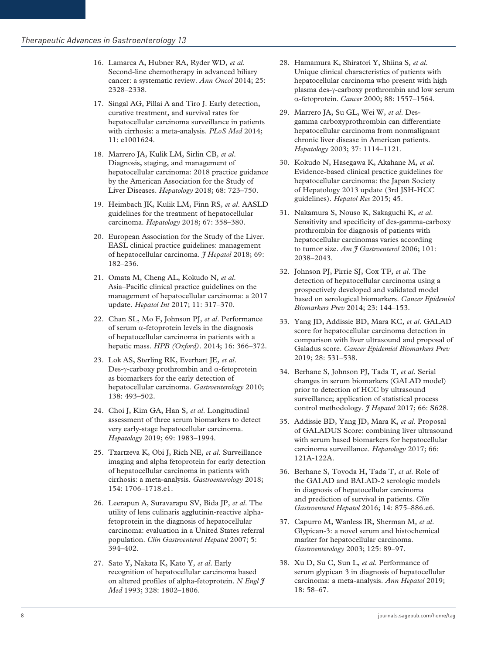- 16. Lamarca A, Hubner RA, Ryder WD*, et al*. Second-line chemotherapy in advanced biliary cancer: a systematic review. *Ann Oncol* 2014; 25: 2328–2338.
- 17. Singal AG, Pillai A and Tiro J. Early detection, curative treatment, and survival rates for hepatocellular carcinoma surveillance in patients with cirrhosis: a meta-analysis. *PLoS Med* 2014; 11: e1001624.
- 18. Marrero JA, Kulik LM, Sirlin CB*, et al*. Diagnosis, staging, and management of hepatocellular carcinoma: 2018 practice guidance by the American Association for the Study of Liver Diseases. *Hepatology* 2018; 68: 723–750.
- 19. Heimbach JK, Kulik LM, Finn RS*, et al*. AASLD guidelines for the treatment of hepatocellular carcinoma. *Hepatology* 2018; 67: 358–380.
- 20. European Association for the Study of the Liver. EASL clinical practice guidelines: management of hepatocellular carcinoma. *J Hepatol* 2018; 69: 182–236.
- 21. Omata M, Cheng AL, Kokudo N*, et al*. Asia–Pacific clinical practice guidelines on the management of hepatocellular carcinoma: a 2017 update. *Hepatol Int* 2017; 11: 317–370.
- 22. Chan SL, Mo F, Johnson PJ*, et al*. Performance of serum α-fetoprotein levels in the diagnosis of hepatocellular carcinoma in patients with a hepatic mass. *HPB (Oxford)*. 2014; 16: 366–372.
- 23. Lok AS, Sterling RK, Everhart JE*, et al*. Des-γ-carboxy prothrombin and  $α$ -fetoprotein as biomarkers for the early detection of hepatocellular carcinoma. *Gastroenterology* 2010; 138: 493–502.
- 24. Choi J, Kim GA, Han S*, et al*. Longitudinal assessment of three serum biomarkers to detect very early-stage hepatocellular carcinoma. *Hepatology* 2019; 69: 1983–1994.
- 25. Tzartzeva K, Obi J, Rich NE*, et al*. Surveillance imaging and alpha fetoprotein for early detection of hepatocellular carcinoma in patients with cirrhosis: a meta-analysis. *Gastroenterology* 2018; 154: 1706–1718.e1.
- 26. Leerapun A, Suravarapu SV, Bida JP*, et al*. The utility of lens culinaris agglutinin-reactive alphafetoprotein in the diagnosis of hepatocellular carcinoma: evaluation in a United States referral population. *Clin Gastroenterol Hepatol* 2007; 5: 394–402.
- 27. Sato Y, Nakata K, Kato Y*, et al*. Early recognition of hepatocellular carcinoma based on altered profiles of alpha-fetoprotein. *N Engl J Med* 1993; 328: 1802–1806.
- 28. Hamamura K, Shiratori Y, Shiina S*, et al*. Unique clinical characteristics of patients with hepatocellular carcinoma who present with high plasma des-γ-carboxy prothrombin and low serum α-fetoprotein. *Cancer* 2000; 88: 1557–1564.
- 29. Marrero JA, Su GL, Wei W*, et al*. Desgamma carboxyprothrombin can differentiate hepatocellular carcinoma from nonmalignant chronic liver disease in American patients. *Hepatology* 2003; 37: 1114–1121.
- 30. Kokudo N, Hasegawa K, Akahane M*, et al*. Evidence-based clinical practice guidelines for hepatocellular carcinoma: the Japan Society of Hepatology 2013 update (3rd JSH-HCC guidelines). *Hepatol Res* 2015; 45.
- 31. Nakamura S, Nouso K, Sakaguchi K*, et al*. Sensitivity and specificity of des-gamma-carboxy prothrombin for diagnosis of patients with hepatocellular carcinomas varies according to tumor size. *Am*  $\tilde{\tau}$  *Gastroenterol* 2006; 101: 2038–2043.
- 32. Johnson PJ, Pirrie SJ, Cox TF*, et al*. The detection of hepatocellular carcinoma using a prospectively developed and validated model based on serological biomarkers. *Cancer Epidemiol Biomarkers Prev* 2014; 23: 144–153.
- 33. Yang JD, Addissie BD, Mara KC*, et al*. GALAD score for hepatocellular carcinoma detection in comparison with liver ultrasound and proposal of Galadus score. *Cancer Epidemiol Biomarkers Prev* 2019; 28: 531–538.
- 34. Berhane S, Johnson PJ, Tada T*, et al*. Serial changes in serum biomarkers (GALAD model) prior to detection of HCC by ultrasound surveillance; application of statistical process control methodology. *J Hepatol* 2017; 66: S628.
- 35. Addissie BD, Yang JD, Mara K*, et al*. Proposal of GALADUS Score: combining liver ultrasound with serum based biomarkers for hepatocellular carcinoma surveillance. *Hepatology* 2017; 66: 121A-122A.
- 36. Berhane S, Toyoda H, Tada T*, et al*. Role of the GALAD and BALAD-2 serologic models in diagnosis of hepatocellular carcinoma and prediction of survival in patients. *Clin Gastroenterol Hepatol* 2016; 14: 875–886.e6.
- 37. Capurro M, Wanless IR, Sherman M*, et al*. Glypican-3: a novel serum and histochemical marker for hepatocellular carcinoma. *Gastroenterology* 2003; 125: 89–97.
- 38. Xu D, Su C, Sun L*, et al*. Performance of serum glypican 3 in diagnosis of hepatocellular carcinoma: a meta-analysis. *Ann Hepatol* 2019; 18: 58–67.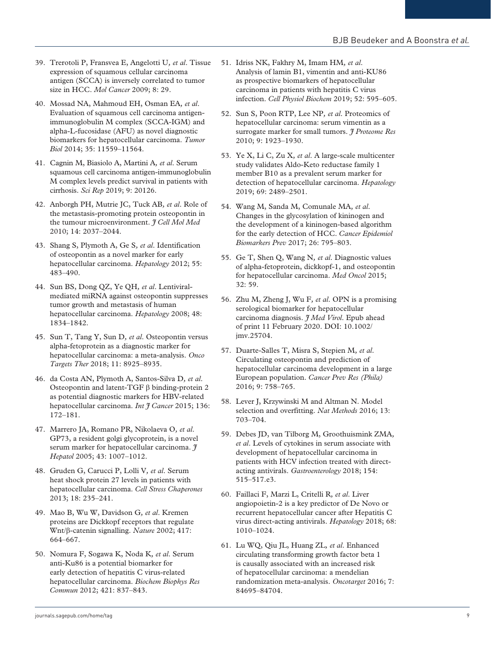- 39. Trerotoli P, Fransvea E, Angelotti U*, et al*. Tissue expression of squamous cellular carcinoma antigen (SCCA) is inversely correlated to tumor size in HCC. *Mol Cancer* 2009; 8: 29.
- 40. Mossad NA, Mahmoud EH, Osman EA*, et al*. Evaluation of squamous cell carcinoma antigenimmunoglobulin M complex (SCCA-IGM) and alpha-L-fucosidase (AFU) as novel diagnostic biomarkers for hepatocellular carcinoma. *Tumor Biol* 2014; 35: 11559–11564.
- 41. Cagnin M, Biasiolo A, Martini A*, et al*. Serum squamous cell carcinoma antigen-immunoglobulin M complex levels predict survival in patients with cirrhosis. *Sci Rep* 2019; 9: 20126.
- 42. Anborgh PH, Mutrie JC, Tuck AB*, et al*. Role of the metastasis-promoting protein osteopontin in the tumour microenvironment. *J Cell Mol Med* 2010; 14: 2037–2044.
- 43. Shang S, Plymoth A, Ge S*, et al*. Identification of osteopontin as a novel marker for early hepatocellular carcinoma. *Hepatology* 2012; 55: 483–490.
- 44. Sun BS, Dong QZ, Ye QH*, et al*. Lentiviralmediated miRNA against osteopontin suppresses tumor growth and metastasis of human hepatocellular carcinoma. *Hepatology* 2008; 48: 1834–1842.
- 45. Sun T, Tang Y, Sun D*, et al*. Osteopontin versus alpha-fetoprotein as a diagnostic marker for hepatocellular carcinoma: a meta-analysis. *Onco Targets Ther* 2018; 11: 8925–8935.
- 46. da Costa AN, Plymoth A, Santos-Silva D*, et al*. Osteopontin and latent-TGF β binding-protein 2 as potential diagnostic markers for HBV-related hepatocellular carcinoma. *Int J Cancer* 2015; 136: 172–181.
- 47. Marrero JA, Romano PR, Nikolaeva O*, et al*. GP73, a resident golgi glycoprotein, is a novel serum marker for hepatocellular carcinoma. *J Hepatol* 2005; 43: 1007–1012.
- 48. Gruden G, Carucci P, Lolli V*, et al*. Serum heat shock protein 27 levels in patients with hepatocellular carcinoma. *Cell Stress Chaperones* 2013; 18: 235–241.
- 49. Mao B, Wu W, Davidson G*, et al*. Kremen proteins are Dickkopf receptors that regulate Wnt/β-catenin signalling. *Nature* 2002; 417: 664–667.
- 50. Nomura F, Sogawa K, Noda K*, et al*. Serum anti-Ku86 is a potential biomarker for early detection of hepatitis C virus-related hepatocellular carcinoma. *Biochem Biophys Res Commun* 2012; 421: 837–843.
- 51. Idriss NK, Fakhry M, Imam HM*, et al*. Analysis of lamin B1, vimentin and anti-KU86 as prospective biomarkers of hepatocellular carcinoma in patients with hepatitis C virus infection. *Cell Physiol Biochem* 2019; 52: 595–605.
- 52. Sun S, Poon RTP, Lee NP*, et al*. Proteomics of hepatocellular carcinoma: serum vimentin as a surrogate marker for small tumors. *J Proteome Res* 2010; 9: 1923–1930.
- 53. Ye X, Li C, Zu X*, et al*. A large-scale multicenter study validates Aldo-Keto reductase family 1 member B10 as a prevalent serum marker for detection of hepatocellular carcinoma. *Hepatology* 2019; 69: 2489–2501.
- 54. Wang M, Sanda M, Comunale MA*, et al*. Changes in the glycosylation of kininogen and the development of a kininogen-based algorithm for the early detection of HCC. *Cancer Epidemiol Biomarkers Prev* 2017; 26: 795–803.
- 55. Ge T, Shen Q, Wang N*, et al*. Diagnostic values of alpha-fetoprotein, dickkopf-1, and osteopontin for hepatocellular carcinoma. *Med Oncol* 2015; 32: 59.
- 56. Zhu M, Zheng J, Wu F*, et al*. OPN is a promising serological biomarker for hepatocellular carcinoma diagnosis. *J Med Virol*. Epub ahead of print 11 February 2020. DOI: 10.1002/ jmv.25704.
- 57. Duarte-Salles T, Misra S, Stepien M*, et al*. Circulating osteopontin and prediction of hepatocellular carcinoma development in a large European population. *Cancer Prev Res (Phila)* 2016; 9: 758–765.
- 58. Lever J, Krzywinski M and Altman N. Model selection and overfitting. *Nat Methods* 2016; 13: 703–704.
- 59. Debes JD, van Tilborg M, Groothuismink ZMA*, et al*. Levels of cytokines in serum associate with development of hepatocellular carcinoma in patients with HCV infection treated with directacting antivirals. *Gastroenterology* 2018; 154: 515–517.e3.
- 60. Faillaci F, Marzi L, Critelli R*, et al*. Liver angiopoietin-2 is a key predictor of De Novo or recurrent hepatocellular cancer after Hepatitis C virus direct-acting antivirals. *Hepatology* 2018; 68: 1010–1024.
- 61. Lu WQ, Qiu JL, Huang ZL*, et al*. Enhanced circulating transforming growth factor beta 1 is causally associated with an increased risk of hepatocellular carcinoma: a mendelian randomization meta-analysis. *Oncotarget* 2016; 7: 84695–84704.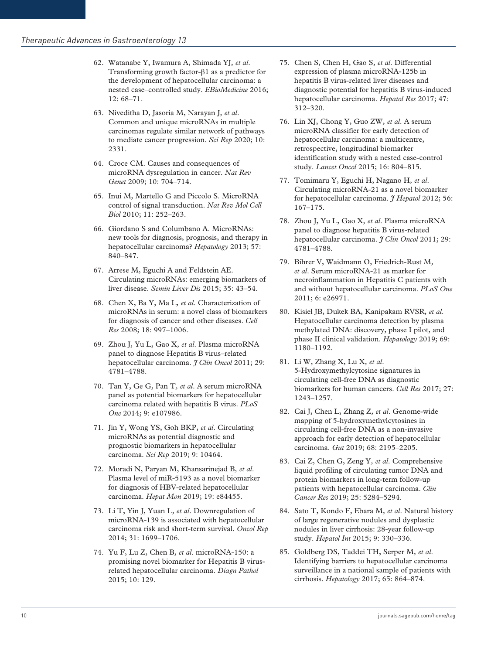- 62. Watanabe Y, Iwamura A, Shimada YJ*, et al*. Transforming growth factor-β1 as a predictor for the development of hepatocellular carcinoma: a nested case–controlled study. *EBioMedicine* 2016; 12: 68–71.
- 63. Niveditha D, Jasoria M, Narayan J*, et al*. Common and unique microRNAs in multiple carcinomas regulate similar network of pathways to mediate cancer progression. *Sci Rep* 2020; 10: 2331.
- 64. Croce CM. Causes and consequences of microRNA dysregulation in cancer. *Nat Rev Genet* 2009; 10: 704–714.
- 65. Inui M, Martello G and Piccolo S. MicroRNA control of signal transduction. *Nat Rev Mol Cell Biol* 2010; 11: 252–263.
- 66. Giordano S and Columbano A. MicroRNAs: new tools for diagnosis, prognosis, and therapy in hepatocellular carcinoma? *Hepatology* 2013; 57: 840–847.
- 67. Arrese M, Eguchi A and Feldstein AE. Circulating microRNAs: emerging biomarkers of liver disease. *Semin Liver Dis* 2015; 35: 43–54.
- 68. Chen X, Ba Y, Ma L*, et al*. Characterization of microRNAs in serum: a novel class of biomarkers for diagnosis of cancer and other diseases. *Cell Res* 2008; 18: 997–1006.
- 69. Zhou J, Yu L, Gao X*, et al*. Plasma microRNA panel to diagnose Hepatitis B virus–related hepatocellular carcinoma. *J Clin Oncol* 2011; 29: 4781–4788.
- 70. Tan Y, Ge G, Pan T*, et al*. A serum microRNA panel as potential biomarkers for hepatocellular carcinoma related with hepatitis B virus. *PLoS One* 2014; 9: e107986.
- 71. Jin Y, Wong YS, Goh BKP, *et al*. Circulating microRNAs as potential diagnostic and prognostic biomarkers in hepatocellular carcinoma. *Sci Rep* 2019; 9: 10464.
- 72. Moradi N, Paryan M, Khansarinejad B*, et al*. Plasma level of miR-5193 as a novel biomarker for diagnosis of HBV-related hepatocellular carcinoma. *Hepat Mon* 2019; 19: e84455.
- 73. Li T, Yin J, Yuan L*, et al*. Downregulation of microRNA-139 is associated with hepatocellular carcinoma risk and short-term survival. *Oncol Rep* 2014; 31: 1699–1706.
- 74. Yu F, Lu Z, Chen B*, et al*. microRNA-150: a promising novel biomarker for Hepatitis B virusrelated hepatocellular carcinoma. *Diagn Pathol* 2015; 10: 129.
- 75. Chen S, Chen H, Gao S*, et al*. Differential expression of plasma microRNA-125b in hepatitis B virus-related liver diseases and diagnostic potential for hepatitis B virus-induced hepatocellular carcinoma. *Hepatol Res* 2017; 47: 312–320.
- 76. Lin XJ, Chong Y, Guo ZW*, et al*. A serum microRNA classifier for early detection of hepatocellular carcinoma: a multicentre, retrospective, longitudinal biomarker identification study with a nested case-control study. *Lancet Oncol* 2015; 16: 804–815.
- 77. Tomimaru Y, Eguchi H, Nagano H*, et al*. Circulating microRNA-21 as a novel biomarker for hepatocellular carcinoma. *J Hepatol* 2012; 56: 167–175.
- 78. Zhou J, Yu L, Gao X*, et al*. Plasma microRNA panel to diagnose hepatitis B virus-related hepatocellular carcinoma. *J Clin Oncol* 2011; 29: 4781–4788.
- 79. Bihrer V, Waidmann O, Friedrich-Rust M*, et al*. Serum microRNA-21 as marker for necroinflammation in Hepatitis C patients with and without hepatocellular carcinoma. *PLoS One* 2011; 6: e26971.
- 80. Kisiel JB, Dukek BA, Kanipakam RVSR*, et al*. Hepatocellular carcinoma detection by plasma methylated DNA: discovery, phase I pilot, and phase II clinical validation. *Hepatology* 2019; 69: 1180–1192.
- 81. Li W, Zhang X, Lu X*, et al*. 5-Hydroxymethylcytosine signatures in circulating cell-free DNA as diagnostic biomarkers for human cancers. *Cell Res* 2017; 27: 1243–1257.
- 82. Cai J, Chen L, Zhang Z*, et al*. Genome-wide mapping of 5-hydroxymethylcytosines in circulating cell-free DNA as a non-invasive approach for early detection of hepatocellular carcinoma. *Gut* 2019; 68: 2195–2205.
- 83. Cai Z, Chen G, Zeng Y*, et al*. Comprehensive liquid profiling of circulating tumor DNA and protein biomarkers in long-term follow-up patients with hepatocellular carcinoma. *Clin Cancer Res* 2019; 25: 5284–5294.
- 84. Sato T, Kondo F, Ebara M*, et al*. Natural history of large regenerative nodules and dysplastic nodules in liver cirrhosis: 28-year follow-up study. *Hepatol Int* 2015; 9: 330–336.
- 85. Goldberg DS, Taddei TH, Serper M*, et al*. Identifying barriers to hepatocellular carcinoma surveillance in a national sample of patients with cirrhosis. *Hepatology* 2017; 65: 864–874.